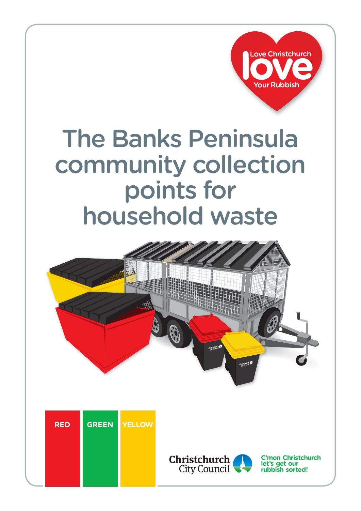

# The Banks Peninsula community collection points for household waste







**C'mon Christchurch let's get our rubbish sorted!**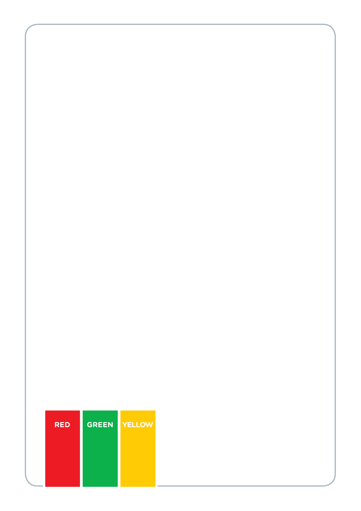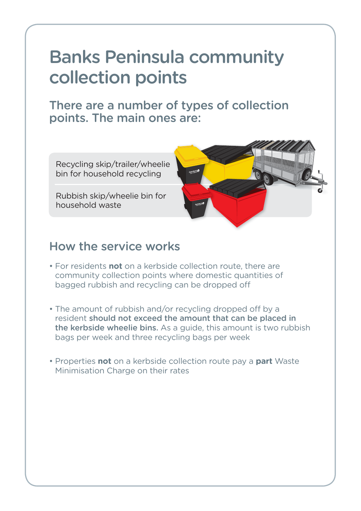## Banks Peninsula community collection points

There are a number of types of collection points. The main ones are:

Recycling skip/trailer/wheelie bin for household recycling

Rubbish skip/wheelie bin for household waste



#### How the service works

- For residents **not** on a kerbside collection route, there are community collection points where domestic quantities of bagged rubbish and recycling can be dropped off
- The amount of rubbish and/or recycling dropped off by a resident should not exceed the amount that can be placed in the kerbside wheelie bins. As a guide, this amount is two rubbish bags per week and three recycling bags per week
- Properties **not** on a kerbside collection route pay a **part** Waste Minimisation Charge on their rates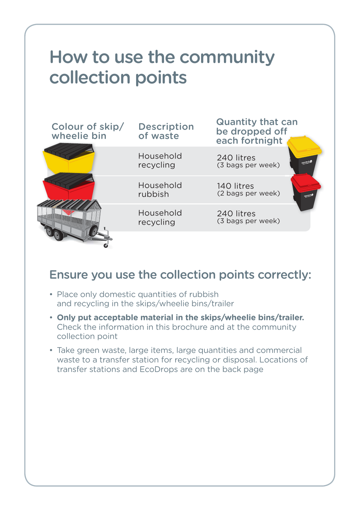## How to use the community collection points

| Colour of skip/<br>wheelie bin | <b>Description</b><br>of waste | <b>Quantity that can</b><br>be dropped off<br>each fortnight |
|--------------------------------|--------------------------------|--------------------------------------------------------------|
|                                | Household<br>recycling         | 240 litres<br>(3 bags per week)                              |
|                                | Household<br>rubbish           | 140 litres<br>(2 bags per week)<br>againsi to                |
|                                | Household<br>recycling         | 240 litres<br>(3 bags per week)                              |
|                                |                                |                                                              |

### Ensure you use the collection points correctly:

- Place only domestic quantities of rubbish and recycling in the skips/wheelie bins/trailer
- **Only put acceptable material in the skips/wheelie bins/trailer.** Check the information in this brochure and at the community collection point
- Take green waste, large items, large quantities and commercial waste to a transfer station for recycling or disposal. Locations of transfer stations and EcoDrops are on the back page